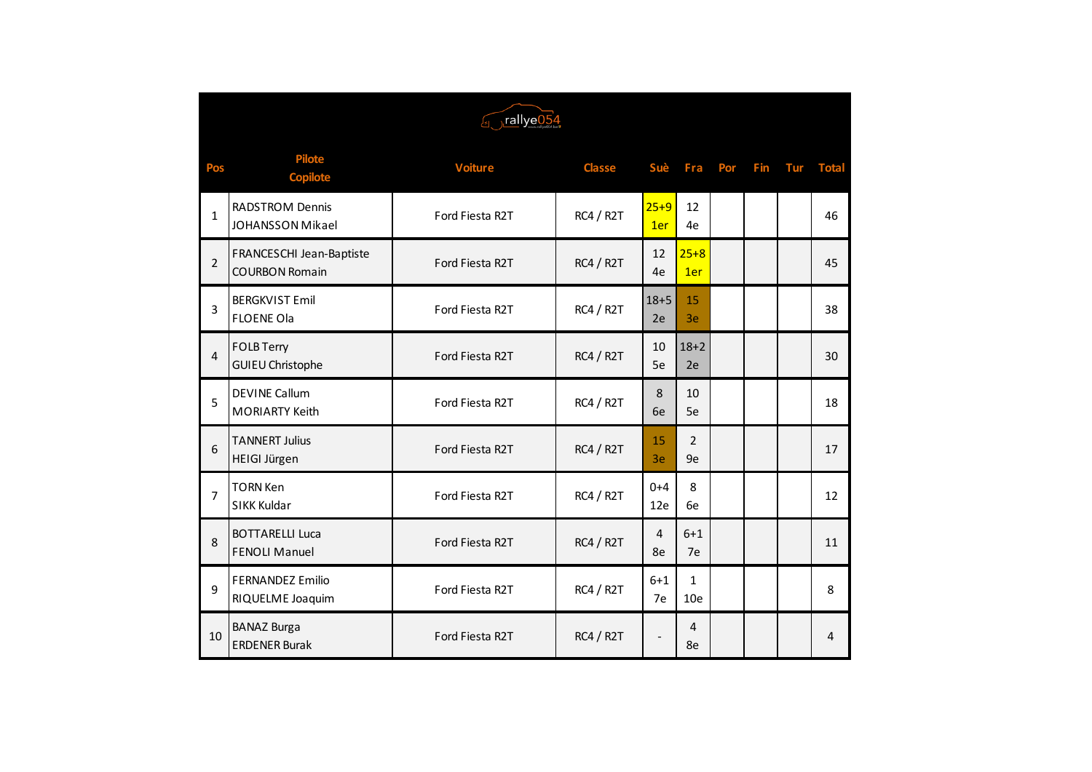| Forallye054    |                                                   |                 |                  |                 |                                 |     |     |     |              |  |
|----------------|---------------------------------------------------|-----------------|------------------|-----------------|---------------------------------|-----|-----|-----|--------------|--|
| Pos            | <b>Pilote</b><br><b>Copilote</b>                  | <b>Voiture</b>  | <b>Classe</b>    | Suè             | Fra                             | Por | Fin | Tur | <b>Total</b> |  |
| $\mathbf{1}$   | <b>RADSTROM Dennis</b><br>JOHANSSON Mikael        | Ford Fiesta R2T | RC4 / R2T        | $25 + 9$<br>1er | 12<br>4e                        |     |     |     | 46           |  |
| $\overline{2}$ | FRANCESCHI Jean-Baptiste<br><b>COURBON Romain</b> | Ford Fiesta R2T | RC4 / R2T        | 12<br>4e        | $25 + 8$<br>1er                 |     |     |     | 45           |  |
| 3              | <b>BERGKVIST Emil</b><br><b>FLOENE Ola</b>        | Ford Fiesta R2T | RC4 / R2T        | $18 + 5$<br>2e  | 15<br>3e                        |     |     |     | 38           |  |
| 4              | <b>FOLB Terry</b><br><b>GUIEU Christophe</b>      | Ford Fiesta R2T | RC4 / R2T        | 10<br>5e        | $18 + 2$<br>2e                  |     |     |     | 30           |  |
| 5              | <b>DEVINE Callum</b><br><b>MORIARTY Keith</b>     | Ford Fiesta R2T | <b>RC4 / R2T</b> | 8<br>6e         | 10<br>5e                        |     |     |     | 18           |  |
| 6              | <b>TANNERT Julius</b><br>HEIGI Jürgen             | Ford Fiesta R2T | RC4 / R2T        | 15<br>3e        | $\overline{2}$<br>9e            |     |     |     | 17           |  |
| 7              | <b>TORN Ken</b><br>SIKK Kuldar                    | Ford Fiesta R2T | <b>RC4 / R2T</b> | $0 + 4$<br>12e  | 8<br>6e                         |     |     |     | 12           |  |
| 8              | <b>BOTTARELLI Luca</b><br><b>FENOLI Manuel</b>    | Ford Fiesta R2T | <b>RC4 / R2T</b> | 4<br>8e         | $6 + 1$<br>7e                   |     |     |     | 11           |  |
| 9              | <b>FERNANDEZ Emilio</b><br>RIQUELME Joaquim       | Ford Fiesta R2T | RC4 / R2T        | $6 + 1$<br>7e   | $\mathbf{1}$<br>10 <sub>e</sub> |     |     |     | 8            |  |
| 10             | <b>BANAZ Burga</b><br><b>ERDENER Burak</b>        | Ford Fiesta R2T | <b>RC4 / R2T</b> |                 | $\overline{4}$<br>8e            |     |     |     | 4            |  |